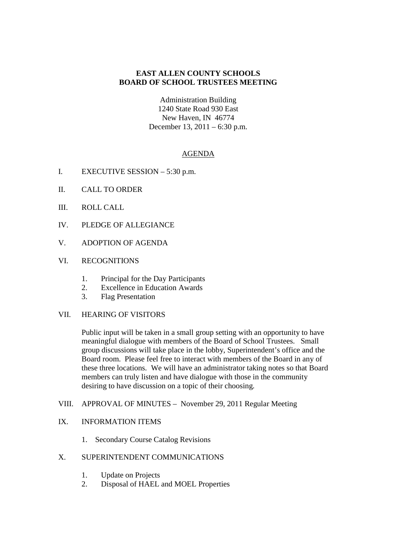## **EAST ALLEN COUNTY SCHOOLS BOARD OF SCHOOL TRUSTEES MEETING**

Administration Building 1240 State Road 930 East New Haven, IN 46774 December 13, 2011 – 6:30 p.m.

## AGENDA

- I. EXECUTIVE SESSION 5:30 p.m.
- II. CALL TO ORDER
- III. ROLL CALL
- IV. PLEDGE OF ALLEGIANCE
- V. ADOPTION OF AGENDA
- VI. RECOGNITIONS
	- 1. Principal for the Day Participants
	- 2. Excellence in Education Awards
	- 3. Flag Presentation

## VII. HEARING OF VISITORS

Public input will be taken in a small group setting with an opportunity to have meaningful dialogue with members of the Board of School Trustees. Small group discussions will take place in the lobby, Superintendent's office and the Board room. Please feel free to interact with members of the Board in any of these three locations. We will have an administrator taking notes so that Board members can truly listen and have dialogue with those in the community desiring to have discussion on a topic of their choosing.

## VIII. APPROVAL OF MINUTES – November 29, 2011 Regular Meeting

## IX. INFORMATION ITEMS

1. Secondary Course Catalog Revisions

# X. SUPERINTENDENT COMMUNICATIONS

- 1. Update on Projects
- 2. Disposal of HAEL and MOEL Properties